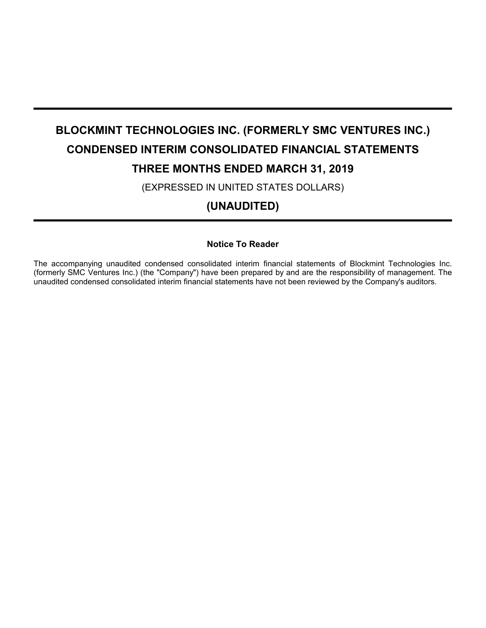# **BLOCKMINT TECHNOLOGIES INC. (FORMERLY SMC VENTURES INC.) CONDENSED INTERIM CONSOLIDATED FINANCIAL STATEMENTS THREE MONTHS ENDED MARCH 31, 2019**

(EXPRESSED IN UNITED STATES DOLLARS)

**(UNAUDITED)**

## **Notice To Reader**

The accompanying unaudited condensed consolidated interim financial statements of Blockmint Technologies Inc. (formerly SMC Ventures Inc.) (the "Company") have been prepared by and are the responsibility of management. The unaudited condensed consolidated interim financial statements have not been reviewed by the Company's auditors.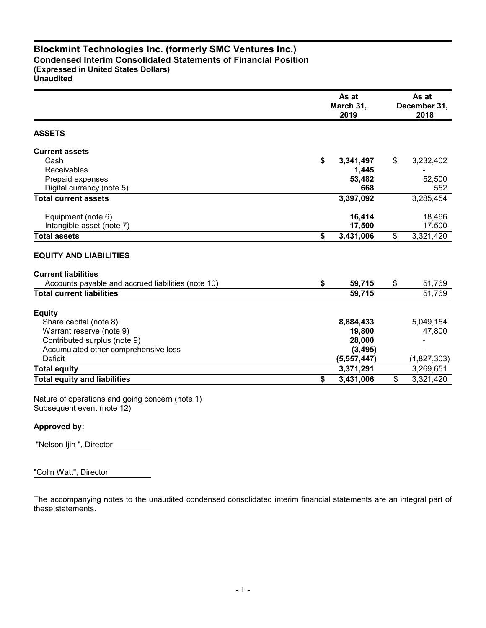## **Blockmint Technologies Inc. (formerly SMC Ventures Inc.) Condensed Interim Consolidated Statements of Financial Position (Expressed in United States Dollars)**

**Unaudited**

|                                                    | As at<br>March 31,<br>2019 | As at<br>December 31,<br>2018 |
|----------------------------------------------------|----------------------------|-------------------------------|
| <b>ASSETS</b>                                      |                            |                               |
| <b>Current assets</b>                              |                            |                               |
| Cash                                               | \$<br>3,341,497            | \$<br>3,232,402               |
| <b>Receivables</b>                                 | 1,445                      |                               |
| Prepaid expenses                                   | 53,482                     | 52,500                        |
| Digital currency (note 5)                          | 668                        | 552                           |
| <b>Total current assets</b>                        | 3,397,092                  | 3,285,454                     |
| Equipment (note 6)                                 | 16,414                     | 18,466                        |
| Intangible asset (note 7)                          | 17,500                     | 17,500                        |
| <b>Total assets</b>                                | \$<br>3,431,006            | \$<br>3,321,420               |
| <b>EQUITY AND LIABILITIES</b>                      |                            |                               |
| <b>Current liabilities</b>                         |                            |                               |
| Accounts payable and accrued liabilities (note 10) | \$<br>59,715               | \$<br>51,769                  |
| <b>Total current liabilities</b>                   | 59,715                     | 51,769                        |
| <b>Equity</b>                                      |                            |                               |
| Share capital (note 8)                             | 8,884,433                  | 5,049,154                     |
| Warrant reserve (note 9)                           | 19,800                     | 47,800                        |
| Contributed surplus (note 9)                       | 28,000                     |                               |
| Accumulated other comprehensive loss               | (3, 495)                   |                               |
| <b>Deficit</b>                                     | (5,557,447)                | (1,827,303)                   |
| <b>Total equity</b>                                | 3,371,291                  | 3,269,651                     |
| <b>Total equity and liabilities</b>                | \$<br>3,431,006            | \$<br>3,321,420               |

Nature of operations and going concern (note 1) Subsequent event (note 12)

## **Approved by:**

"Nelson Ijih ", Director

"Colin Watt", Director

The accompanying notes to the unaudited condensed consolidated interim financial statements are an integral part of these statements.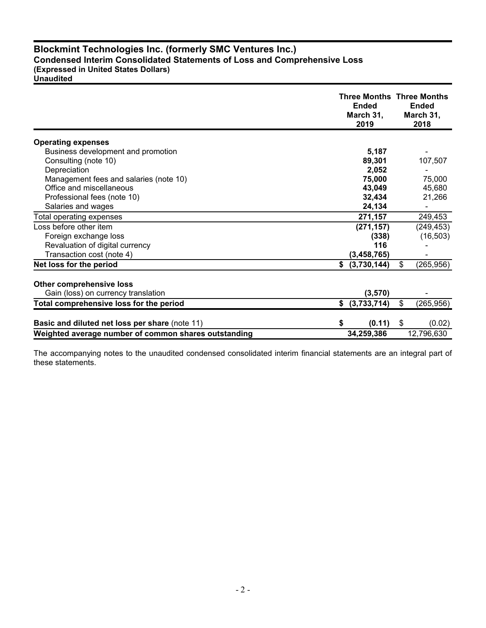## **Blockmint Technologies Inc. (formerly SMC Ventures Inc.) Condensed Interim Consolidated Statements of Loss and Comprehensive Loss (Expressed in United States Dollars)**

**Unaudited**

|                                                                        | <b>Three Months Three Months</b><br><b>Ended</b><br>March 31,<br>2019 | <b>Ended</b><br>March 31.<br>2018 |
|------------------------------------------------------------------------|-----------------------------------------------------------------------|-----------------------------------|
| <b>Operating expenses</b>                                              |                                                                       |                                   |
| Business development and promotion                                     | 5,187                                                                 |                                   |
| Consulting (note 10)                                                   | 89,301                                                                | 107,507                           |
| Depreciation                                                           | 2,052                                                                 |                                   |
| Management fees and salaries (note 10)                                 | 75,000                                                                | 75,000                            |
| Office and miscellaneous                                               | 43,049                                                                | 45,680                            |
| Professional fees (note 10)                                            | 32,434                                                                | 21,266                            |
| Salaries and wages                                                     | 24,134                                                                |                                   |
| Total operating expenses                                               | 271,157                                                               | 249,453                           |
| Loss before other item                                                 | (271, 157)                                                            | (249, 453)                        |
| Foreign exchange loss                                                  | (338)                                                                 | (16, 503)                         |
| Revaluation of digital currency                                        | 116                                                                   |                                   |
| Transaction cost (note 4)                                              | (3, 458, 765)                                                         |                                   |
| Net loss for the period                                                | \$<br>(3,730,144)                                                     | \$<br>(265, 956)                  |
| <b>Other comprehensive loss</b><br>Gain (loss) on currency translation | (3, 570)                                                              |                                   |
| Total comprehensive loss for the period                                | (3,733,714)<br>\$                                                     | \$<br>(265, 956)                  |
|                                                                        |                                                                       |                                   |
| Basic and diluted net loss per share (note 11)                         | (0.11)<br>S                                                           | \$<br>(0.02)                      |
| Weighted average number of common shares outstanding                   | 34,259,386                                                            | 12,796,630                        |

The accompanying notes to the unaudited condensed consolidated interim financial statements are an integral part of these statements.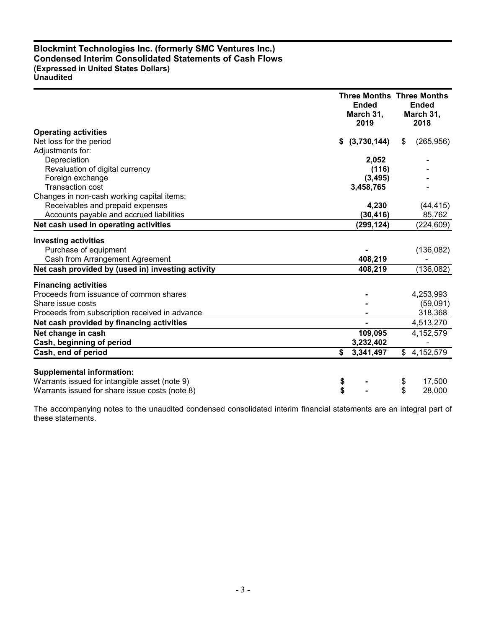## **Blockmint Technologies Inc. (formerly SMC Ventures Inc.) Condensed Interim Consolidated Statements of Cash Flows (Expressed in United States Dollars) Unaudited**

|                                                   | <b>Three Months Three Months</b><br><b>Ended</b><br>March 31,<br>2019 |              | <b>Ended</b><br>March 31,<br>2018 |
|---------------------------------------------------|-----------------------------------------------------------------------|--------------|-----------------------------------|
| <b>Operating activities</b>                       |                                                                       |              |                                   |
| Net loss for the period                           | \$<br>(3,730,144)                                                     | \$           | (265, 956)                        |
| Adjustments for:                                  |                                                                       |              |                                   |
| Depreciation                                      | 2,052                                                                 |              |                                   |
| Revaluation of digital currency                   | (116)                                                                 |              |                                   |
| Foreign exchange                                  | (3, 495)                                                              |              |                                   |
| <b>Transaction cost</b>                           | 3,458,765                                                             |              |                                   |
| Changes in non-cash working capital items:        |                                                                       |              |                                   |
| Receivables and prepaid expenses                  | 4,230                                                                 |              | (44, 415)                         |
| Accounts payable and accrued liabilities          | (30, 416)                                                             |              | 85,762                            |
| Net cash used in operating activities             | (299, 124)                                                            |              | (224, 609)                        |
| <b>Investing activities</b>                       |                                                                       |              |                                   |
| Purchase of equipment                             |                                                                       |              | (136,082)                         |
| Cash from Arrangement Agreement                   | 408,219                                                               |              |                                   |
| Net cash provided by (used in) investing activity | 408,219                                                               |              | (136, 082)                        |
| <b>Financing activities</b>                       |                                                                       |              |                                   |
| Proceeds from issuance of common shares           |                                                                       |              | 4,253,993                         |
| Share issue costs                                 |                                                                       |              | (59,091)                          |
| Proceeds from subscription received in advance    |                                                                       |              | 318,368                           |
| Net cash provided by financing activities         |                                                                       |              | 4,513,270                         |
| Net change in cash                                | 109,095                                                               |              | 4,152,579                         |
| Cash, beginning of period                         | 3,232,402                                                             |              |                                   |
| Cash, end of period                               | \$<br>3,341,497                                                       | $\mathbb{S}$ | 4,152,579                         |
| <b>Supplemental information:</b>                  |                                                                       |              |                                   |
| Warrants issued for intangible asset (note 9)     | \$                                                                    | \$           | 17,500                            |
| Warrants issued for share issue costs (note 8)    | \$                                                                    | \$           | 28,000                            |
|                                                   |                                                                       |              |                                   |

The accompanying notes to the unaudited condensed consolidated interim financial statements are an integral part of these statements.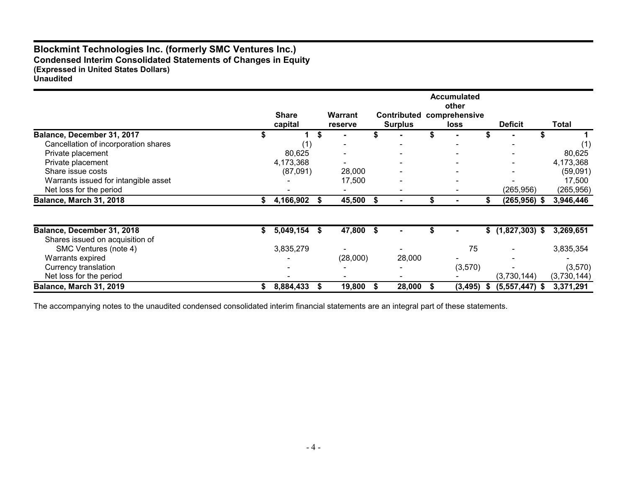## **Blockmint Technologies Inc. (formerly SMC Ventures Inc.) Condensed Interim Consolidated Statements of Changes in Equity (Expressed in United States Dollars) Unaudited**

|                                      | <b>Share</b>    |   | <b>Warrant</b> |      | <b>Contributed</b> | <b>Accumulated</b><br>other<br>comprehensive |    |                   |             |
|--------------------------------------|-----------------|---|----------------|------|--------------------|----------------------------------------------|----|-------------------|-------------|
|                                      | capital         |   | reserve        |      | <b>Surplus</b>     | <b>loss</b>                                  |    | <b>Deficit</b>    | Total       |
| Balance, December 31, 2017           |                 | S |                |      |                    |                                              |    |                   |             |
| Cancellation of incorporation shares | (1)             |   |                |      |                    |                                              |    |                   |             |
| Private placement                    | 80,625          |   |                |      |                    |                                              |    |                   | 80,625      |
| Private placement                    | 4,173,368       |   |                |      |                    |                                              |    |                   | 4,173,368   |
| Share issue costs                    | (87,091)        |   | 28,000         |      |                    |                                              |    |                   | (59,091)    |
| Warrants issued for intangible asset |                 |   | 17,500         |      |                    |                                              |    |                   | 17,500      |
| Net loss for the period              |                 |   |                |      |                    |                                              |    | (265, 956)        | (265, 956)  |
| Balance, March 31, 2018              | 4,166,902       | ъ | 45,500 \$      |      |                    |                                              |    | $(265, 956)$ \$   | 3,946,446   |
|                                      |                 |   |                |      |                    |                                              |    |                   |             |
| Balance, December 31, 2018           | \$<br>5,049,154 | S | 47,800         | - \$ |                    |                                              |    | $$(1,827,303)$ \$ | 3,269,651   |
| Shares issued on acquisition of      |                 |   |                |      |                    |                                              |    |                   |             |
| SMC Ventures (note 4)                | 3,835,279       |   |                |      |                    | 75                                           |    |                   | 3,835,354   |
| Warrants expired                     |                 |   | (28,000)       |      | 28,000             |                                              |    |                   |             |
| Currency translation                 |                 |   |                |      |                    | (3,570)                                      |    |                   | (3,570)     |
| Net loss for the period              |                 |   |                |      |                    |                                              |    | (3,730,144)       | (3,730,144) |
| <b>Balance, March 31, 2019</b>       | 8,884,433       |   | 19,800         |      | 28,000             | (3, 495)                                     | æ. | $(5,557,447)$ \$  | 3,371,291   |

The accompanying notes to the unaudited condensed consolidated interim financial statements are an integral part of these statements.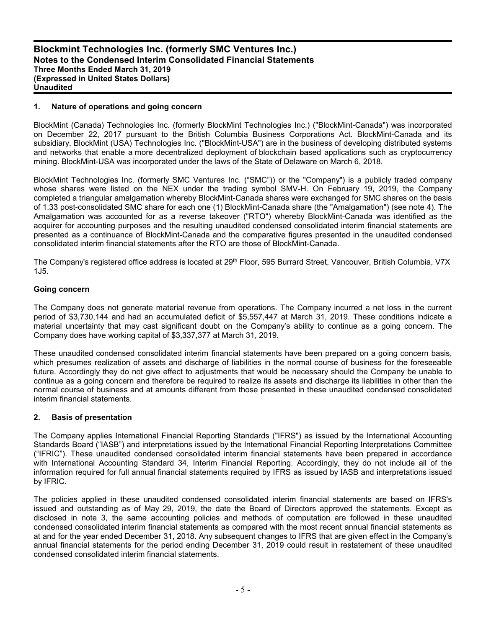#### **1. Nature of operations and going concern**

BlockMint (Canada) Technologies Inc. (formerly BlockMint Technologies Inc.) ("BlockMint-Canada") was incorporated on December 22, 2017 pursuant to the British Columbia Business Corporations Act. BlockMint-Canada and its subsidiary, BlockMint (USA) Technologies Inc. ("BlockMint-USA") are in the business of developing distributed systems and networks that enable a more decentralized deployment of blockchain based applications such as cryptocurrency mining. BlockMint-USA was incorporated under the laws of the State of Delaware on March 6, 2018.

BlockMint Technologies Inc. (formerly SMC Ventures Inc. ("SMC")) or the "Company") is a publicly traded company whose shares were listed on the NEX under the trading symbol SMV-H. On February 19, 2019, the Company completed a triangular amalgamation whereby BlockMint-Canada shares were exchanged for SMC shares on the basis of 1.33 post-consolidated SMC share for each one (1) BlockMint-Canada share (the "Amalgamation") (see note 4). The Amalgamation was accounted for as a reverse takeover ("RTO") whereby BlockMint-Canada was identified as the acquirer for accounting purposes and the resulting unaudited condensed consolidated interim financial statements are presented as a continuance of BlockMint-Canada and the comparative figures presented in the unaudited condensed consolidated interim financial statements after the RTO are those of BlockMint-Canada.

The Company's registered office address is located at 29<sup>th</sup> Floor, 595 Burrard Street, Vancouver, British Columbia, V7X 1J5.

#### **Going concern**

The Company does not generate material revenue from operations. The Company incurred a net loss in the current period of \$3,730,144 and had an accumulated deficit of \$5,557,447 at March 31, 2019. These conditions indicate a material uncertainty that may cast significant doubt on the Company's ability to continue as a going concern. The Company does have working capital of \$3,337,377 at March 31, 2019.

These unaudited condensed consolidated interim financial statements have been prepared on a going concern basis, which presumes realization of assets and discharge of liabilities in the normal course of business for the foreseeable future. Accordingly they do not give effect to adjustments that would be necessary should the Company be unable to continue as a going concern and therefore be required to realize its assets and discharge its liabilities in other than the normal course of business and at amounts different from those presented in these unaudited condensed consolidated interim financial statements.

#### **2. Basis of presentation**

The Company applies International Financial Reporting Standards ("IFRS") as issued by the International Accounting Standards Board ("IASB") and interpretations issued by the International Financial Reporting Interpretations Committee ("IFRIC"). These unaudited condensed consolidated interim financial statements have been prepared in accordance with International Accounting Standard 34, Interim Financial Reporting. Accordingly, they do not include all of the information required for full annual financial statements required by IFRS as issued by IASB and interpretations issued by IFRIC.

The policies applied in these unaudited condensed consolidated interim financial statements are based on IFRS's issued and outstanding as of May 29, 2019, the date the Board of Directors approved the statements. Except as disclosed in note 3, the same accounting policies and methods of computation are followed in these unaudited condensed consolidated interim financial statements as compared with the most recent annual financial statements as at and for the year ended December 31, 2018. Any subsequent changes to IFRS that are given effect in the Company's annual financial statements for the period ending December 31, 2019 could result in restatement of these unaudited condensed consolidated interim financial statements.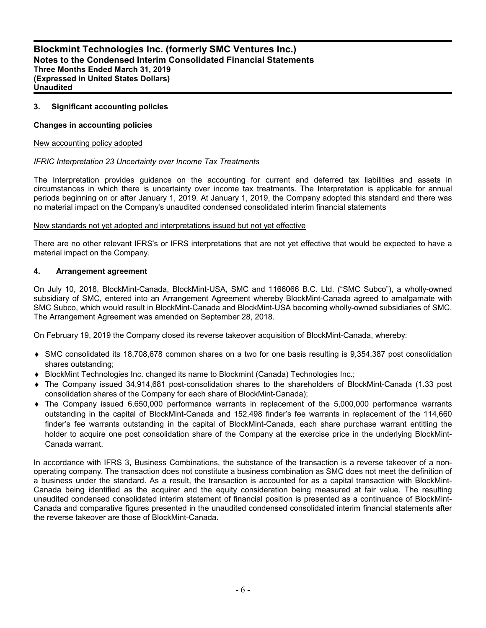#### **3. Significant accounting policies**

#### **Changes in accounting policies**

#### New accounting policy adopted

#### *IFRIC Interpretation 23 Uncertainty over Income Tax Treatments*

The Interpretation provides guidance on the accounting for current and deferred tax liabilities and assets in circumstances in which there is uncertainty over income tax treatments. The Interpretation is applicable for annual periods beginning on or after January 1, 2019. At January 1, 2019, the Company adopted this standard and there was no material impact on the Company's unaudited condensed consolidated interim financial statements

#### New standards not yet adopted and interpretations issued but not yet effective

There are no other relevant IFRS's or IFRS interpretations that are not yet effective that would be expected to have a material impact on the Company.

#### **4. Arrangement agreement**

On July 10, 2018, BlockMint-Canada, BlockMint-USA, SMC and 1166066 B.C. Ltd. ("SMC Subco"), a wholly-owned subsidiary of SMC, entered into an Arrangement Agreement whereby BlockMint-Canada agreed to amalgamate with SMC Subco, which would result in BlockMint-Canada and BlockMint-USA becoming wholly-owned subsidiaries of SMC. The Arrangement Agreement was amended on September 28, 2018.

On February 19, 2019 the Company closed its reverse takeover acquisition of BlockMint-Canada, whereby:

- SMC consolidated its 18,708,678 common shares on a two for one basis resulting is 9,354,387 post consolidation shares outstanding;
- ◆ BlockMint Technologies Inc. changed its name to Blockmint (Canada) Technologies Inc.;
- The Company issued 34,914,681 post-consolidation shares to the shareholders of BlockMint-Canada (1.33 post consolidation shares of the Company for each share of BlockMint-Canada);
- The Company issued 6,650,000 performance warrants in replacement of the 5,000,000 performance warrants outstanding in the capital of BlockMint-Canada and 152,498 finder's fee warrants in replacement of the 114,660 finder's fee warrants outstanding in the capital of BlockMint-Canada, each share purchase warrant entitling the holder to acquire one post consolidation share of the Company at the exercise price in the underlying BlockMint-Canada warrant.

In accordance with IFRS 3, Business Combinations, the substance of the transaction is a reverse takeover of a nonoperating company. The transaction does not constitute a business combination as SMC does not meet the definition of a business under the standard. As a result, the transaction is accounted for as a capital transaction with BlockMint-Canada being identified as the acquirer and the equity consideration being measured at fair value. The resulting unaudited condensed consolidated interim statement of financial position is presented as a continuance of BlockMint-Canada and comparative figures presented in the unaudited condensed consolidated interim financial statements after the reverse takeover are those of BlockMint-Canada.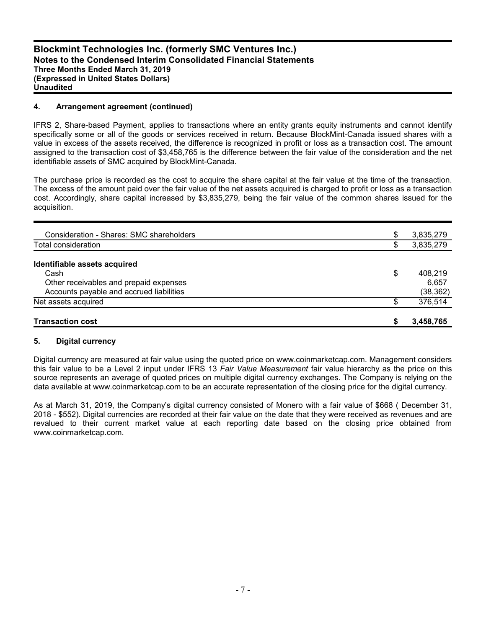#### **4. Arrangement agreement (continued)**

IFRS 2, Share-based Payment, applies to transactions where an entity grants equity instruments and cannot identify specifically some or all of the goods or services received in return. Because BlockMint-Canada issued shares with a value in excess of the assets received, the difference is recognized in profit or loss as a transaction cost. The amount assigned to the transaction cost of \$3,458,765 is the difference between the fair value of the consideration and the net identifiable assets of SMC acquired by BlockMint-Canada.

The purchase price is recorded as the cost to acquire the share capital at the fair value at the time of the transaction. The excess of the amount paid over the fair value of the net assets acquired is charged to profit or loss as a transaction cost. Accordingly, share capital increased by \$3,835,279, being the fair value of the common shares issued for the acquisition.

| <b>Transaction cost</b>                  | S  | 3,458,765 |
|------------------------------------------|----|-----------|
| Net assets acquired                      | \$ | 376,514   |
| Accounts payable and accrued liabilities |    | (38, 362) |
| Other receivables and prepaid expenses   |    | 6.657     |
| Cash                                     | \$ | 408.219   |
| Identifiable assets acquired             |    |           |
| Total consideration                      | \$ | 3,835,279 |
|                                          |    |           |
| Consideration - Shares: SMC shareholders | \$ | 3,835,279 |

#### **5. Digital currency**

Digital currency are measured at fair value using the quoted price on www.coinmarketcap.com. Management considers this fair value to be a Level 2 input under IFRS 13 *Fair Value Measurement* fair value hierarchy as the price on this source represents an average of quoted prices on multiple digital currency exchanges. The Company is relying on the data available at www.coinmarketcap.com to be an accurate representation of the closing price for the digital currency.

As at March 31, 2019, the Company's digital currency consisted of Monero with a fair value of \$668 ( December 31, 2018 - \$552). Digital currencies are recorded at their fair value on the date that they were received as revenues and are revalued to their current market value at each reporting date based on the closing price obtained from www.coinmarketcap.com.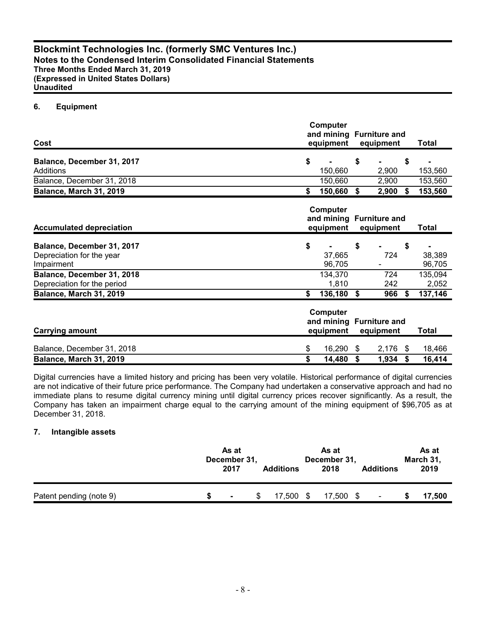## **6. Equipment**

| Cost                                                                  | Computer<br>and mining Furniture and<br>equipment              |      | equipment  |    | <b>Total</b>     |
|-----------------------------------------------------------------------|----------------------------------------------------------------|------|------------|----|------------------|
| Balance, December 31, 2017                                            | \$                                                             | \$   |            | \$ |                  |
| Additions                                                             | 150,660                                                        |      | 2,900      |    | 153,560          |
| Balance, December 31, 2018                                            | 150,660                                                        |      | 2,900      |    | 153,560          |
| Balance, March 31, 2019                                               | \$<br>150,660                                                  | - \$ | 2,900      | S. | 153,560          |
| <b>Accumulated depreciation</b>                                       | Computer<br>and mining Furniture and<br>equipment              |      | equipment  |    | <b>Total</b>     |
| Balance, December 31, 2017<br>Depreciation for the year<br>Impairment | \$<br>37,665<br>96,705                                         | \$   | 724        | \$ | 38,389<br>96,705 |
| Balance, December 31, 2018<br>Depreciation for the period             | 134,370<br>1,810                                               |      | 724<br>242 |    | 135,094<br>2,052 |
| Balance, March 31, 2019                                               | \$<br>136,180                                                  | \$   | 966        | S. | 137,146          |
| <b>Carrying amount</b>                                                | Computer<br>and mining Furniture and<br>equipment<br>equipment |      | Total      |    |                  |
| Balance, December 31, 2018                                            | \$<br>16,290                                                   | \$   | 2,176      | \$ | 18,466           |
| Balance, March 31, 2019                                               | \$<br>14,480                                                   | \$   | 1,934      | S  | 16,414           |

Digital currencies have a limited history and pricing has been very volatile. Historical performance of digital currencies are not indicative of their future price performance. The Company had undertaken a conservative approach and had no immediate plans to resume digital currency mining until digital currency prices recover significantly. As a result, the Company has taken an impairment charge equal to the carrying amount of the mining equipment of \$96,705 as at December 31, 2018.

#### **7. Intangible assets**

|                         | As at<br>December 31,<br>2017 | <b>Additions</b> |   | As at<br>December 31,<br>2018 | <b>Additions</b> | As at<br>March 31,<br>2019 |
|-------------------------|-------------------------------|------------------|---|-------------------------------|------------------|----------------------------|
| Patent pending (note 9) | $\blacksquare$                | 7.500            | S | 17,500<br>- \$                |                  | 17,500                     |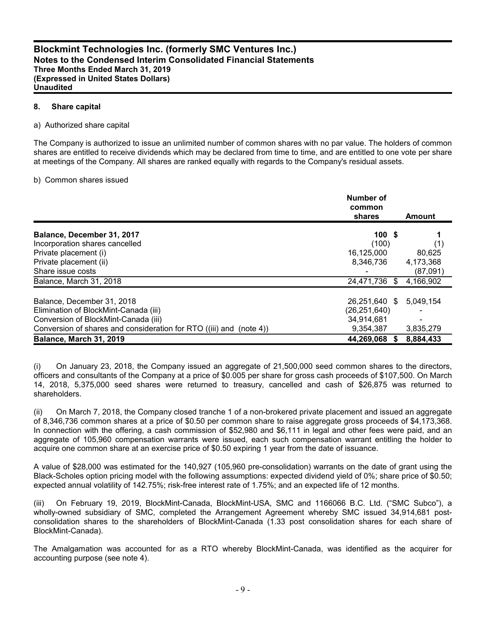#### **8. Share capital**

#### a) Authorized share capital

The Company is authorized to issue an unlimited number of common shares with no par value. The holders of common shares are entitled to receive dividends which may be declared from time to time, and are entitled to one vote per share at meetings of the Company. All shares are ranked equally with regards to the Company's residual assets.

#### b) Common shares issued

|                                                                     | Number of<br>common<br>shares | <b>Amount</b> |
|---------------------------------------------------------------------|-------------------------------|---------------|
| Balance, December 31, 2017                                          | 100S                          |               |
| Incorporation shares cancelled                                      | (100)                         | (1)           |
| Private placement (i)                                               | 16,125,000                    | 80,625        |
| Private placement (ii)                                              | 8,346,736                     | 4,173,368     |
| Share issue costs                                                   |                               | (87,091)      |
| Balance, March 31, 2018                                             | 24,471,736 \$                 | 4,166,902     |
| Balance, December 31, 2018                                          | 26,251,640 \$                 | 5,049,154     |
| Elimination of BlockMint-Canada (iii)                               | (26, 251, 640)                |               |
| Conversion of BlockMint-Canada (iii)                                | 34,914,681                    |               |
| Conversion of shares and consideration for RTO ((iii) and (note 4)) | 9,354,387                     | 3,835,279     |
| <b>Balance, March 31, 2019</b>                                      | 44,269,068                    | 8,884,433     |

(i) On January 23, 2018, the Company issued an aggregate of 21,500,000 seed common shares to the directors, officers and consultants of the Company at a price of \$0.005 per share for gross cash proceeds of \$107,500. On March 14, 2018, 5,375,000 seed shares were returned to treasury, cancelled and cash of \$26,875 was returned to shareholders.

(ii) On March 7, 2018, the Company closed tranche 1 of a non-brokered private placement and issued an aggregate of 8,346,736 common shares at a price of \$0.50 per common share to raise aggregate gross proceeds of \$4,173,368. In connection with the offering, a cash commission of \$52,980 and \$6,111 in legal and other fees were paid, and an aggregate of 105,960 compensation warrants were issued, each such compensation warrant entitling the holder to acquire one common share at an exercise price of \$0.50 expiring 1 year from the date of issuance.

A value of \$28,000 was estimated for the 140,927 (105,960 pre-consolidation) warrants on the date of grant using the Black-Scholes option pricing model with the following assumptions: expected dividend yield of 0%; share price of \$0.50; expected annual volatility of 142.75%; risk-free interest rate of 1.75%; and an expected life of 12 months.

(iii) On February 19, 2019, BlockMint-Canada, BlockMint-USA, SMC and 1166066 B.C. Ltd. ("SMC Subco"), a wholly-owned subsidiary of SMC, completed the Arrangement Agreement whereby SMC issued 34,914,681 postconsolidation shares to the shareholders of BlockMint-Canada (1.33 post consolidation shares for each share of BlockMint-Canada).

The Amalgamation was accounted for as a RTO whereby BlockMint-Canada, was identified as the acquirer for accounting purpose (see note 4).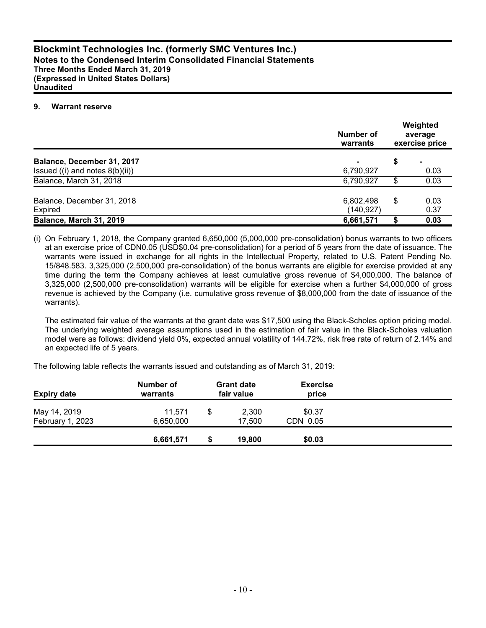#### **9. Warrant reserve**

|                                     | Number of<br>warrants | Weighted<br>average<br>exercise price |  |  |
|-------------------------------------|-----------------------|---------------------------------------|--|--|
| Balance, December 31, 2017          |                       | \$<br>-                               |  |  |
| Issued $((i)$ and notes $8(b)(ii))$ | 6,790,927             | 0.03                                  |  |  |
| Balance, March 31, 2018             | 6,790,927             | \$<br>0.03                            |  |  |
| Balance, December 31, 2018          | 6,802,498             | \$<br>0.03                            |  |  |
| Expired                             | (140, 927)            | 0.37                                  |  |  |
| Balance, March 31, 2019             | 6,661,571             | 0.03                                  |  |  |

(i) On February 1, 2018, the Company granted 6,650,000 (5,000,000 pre-consolidation) bonus warrants to two officers at an exercise price of CDN0.05 (USD\$0.04 pre-consolidation) for a period of 5 years from the date of issuance. The warrants were issued in exchange for all rights in the Intellectual Property, related to U.S. Patent Pending No. 15/848.583. 3,325,000 (2,500,000 pre-consolidation) of the bonus warrants are eligible for exercise provided at any time during the term the Company achieves at least cumulative gross revenue of \$4,000,000. The balance of 3,325,000 (2,500,000 pre-consolidation) warrants will be eligible for exercise when a further \$4,000,000 of gross revenue is achieved by the Company (i.e. cumulative gross revenue of \$8,000,000 from the date of issuance of the warrants).

The estimated fair value of the warrants at the grant date was \$17,500 using the Black-Scholes option pricing model. The underlying weighted average assumptions used in the estimation of fair value in the Black-Scholes valuation model were as follows: dividend yield 0%, expected annual volatility of 144.72%, risk free rate of return of 2.14% and an expected life of 5 years.

The following table reflects the warrants issued and outstanding as of March 31, 2019:

| <b>Expiry date</b>               | Number of<br>warrants | <b>Grant date</b><br>fair value | <b>Exercise</b><br>price |  |
|----------------------------------|-----------------------|---------------------------------|--------------------------|--|
| May 14, 2019<br>February 1, 2023 | 11.571<br>6,650,000   | \$<br>2,300<br>17.500           | \$0.37<br>CDN 0.05       |  |
|                                  | 6,661,571             | 19,800                          | \$0.03                   |  |